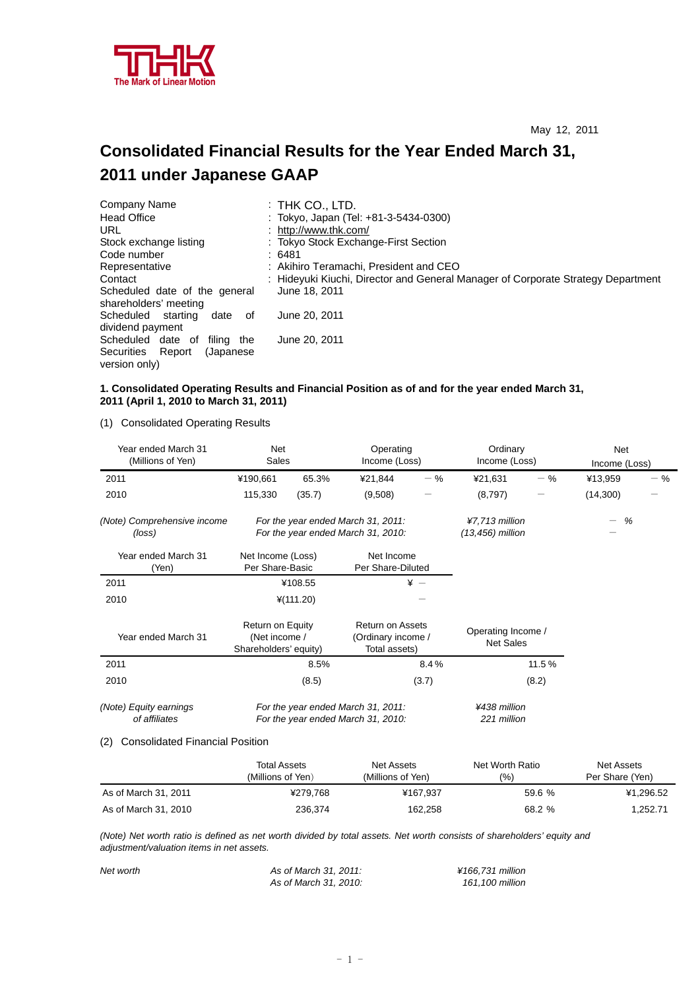

# **Consolidated Financial Results for the Year Ended March 31, 2011 under Japanese GAAP**

| Company Name                                           | $:$ Thk Co., LTD.                                                                |
|--------------------------------------------------------|----------------------------------------------------------------------------------|
| <b>Head Office</b>                                     | : Tokyo, Japan (Tel: +81-3-5434-0300)                                            |
| URL                                                    | : http://www.thk.com/                                                            |
| Stock exchange listing                                 | : Tokyo Stock Exchange-First Section                                             |
| Code number                                            | :6481                                                                            |
| Representative                                         | : Akihiro Teramachi, President and CEO                                           |
| Contact                                                | : Hideyuki Kiuchi, Director and General Manager of Corporate Strategy Department |
| Scheduled date of the general<br>shareholders' meeting | June 18, 2011                                                                    |
| Scheduled starting<br>date<br>οf<br>dividend payment   | June 20, 2011                                                                    |
| Scheduled date of<br>filing the                        | June 20, 2011                                                                    |
| Securities Report<br>(Japanese)<br>version only)       |                                                                                  |

### **1. Consolidated Operating Results and Financial Position as of and for the year ended March 31, 2011 (April 1, 2010 to March 31, 2011)**

(1) Consolidated Operating Results

| Year ended March 31<br>(Millions of Yen) | Net<br>Sales                                                             |                                                                          | Operating<br>Income (Loss)                                     |                                    | Ordinary<br>Income (Loss)              |        | Net<br>Income (Loss) |       |
|------------------------------------------|--------------------------------------------------------------------------|--------------------------------------------------------------------------|----------------------------------------------------------------|------------------------------------|----------------------------------------|--------|----------------------|-------|
| 2011                                     | ¥190,661                                                                 | 65.3%                                                                    | ¥21,844                                                        | $-$ %                              | ¥21,631                                | $-$ %  | ¥13,959              | $-$ % |
| 2010                                     | 115,330                                                                  | (35.7)                                                                   | (9,508)                                                        |                                    | (8,797)                                |        | (14,300)             |       |
| (Note) Comprehensive income<br>(loss)    |                                                                          | For the year ended March 31, 2011:<br>For the year ended March 31, 2010: |                                                                | ¥7,713 million<br>(13,456) million |                                        | %<br>— |                      |       |
| Year ended March 31<br>(Yen)             | Net Income (Loss)<br>Per Share-Basic                                     |                                                                          | Net Income<br>Per Share-Diluted                                |                                    |                                        |        |                      |       |
| 2011                                     |                                                                          | ¥108.55                                                                  | $\frac{1}{2}$ -                                                |                                    |                                        |        |                      |       |
| 2010                                     |                                                                          | $*(111.20)$                                                              |                                                                |                                    |                                        |        |                      |       |
| Year ended March 31                      | Return on Equity<br>(Net income /<br>Shareholders' equity)               |                                                                          | <b>Return on Assets</b><br>(Ordinary income /<br>Total assets) |                                    | Operating Income /<br><b>Net Sales</b> |        |                      |       |
| 2011                                     |                                                                          | 8.5%                                                                     |                                                                | 8.4%                               |                                        | 11.5%  |                      |       |
| 2010                                     |                                                                          | (8.5)                                                                    |                                                                | (3.7)                              |                                        | (8.2)  |                      |       |
| (Note) Equity earnings<br>of affiliates  | For the year ended March 31, 2011:<br>For the year ended March 31, 2010: |                                                                          | ¥438 million<br>221 million                                    |                                    |                                        |        |                      |       |

#### (2) Consolidated Financial Position

|                      | Total Assets<br>(Millions of Yen) | Net Assets<br>(Millions of Yen). | Net Worth Ratio<br>(%) | Net Assets<br>Per Share (Yen) |
|----------------------|-----------------------------------|----------------------------------|------------------------|-------------------------------|
| As of March 31, 2011 | ¥279.768                          | ¥167.937                         | 59.6%                  | ¥1.296.52                     |
| As of March 31, 2010 | 236.374                           | 162,258                          | 68.2 %                 | 1,252.71                      |

*(Note) Net worth ratio is defined as net worth divided by total assets. Net worth consists of shareholders' equity and adjustment/valuation items in net assets.* 

| Net worth | As of March 31, 2011: | ¥166.731 million |
|-----------|-----------------------|------------------|
|           | As of March 31, 2010: | 161.100 million  |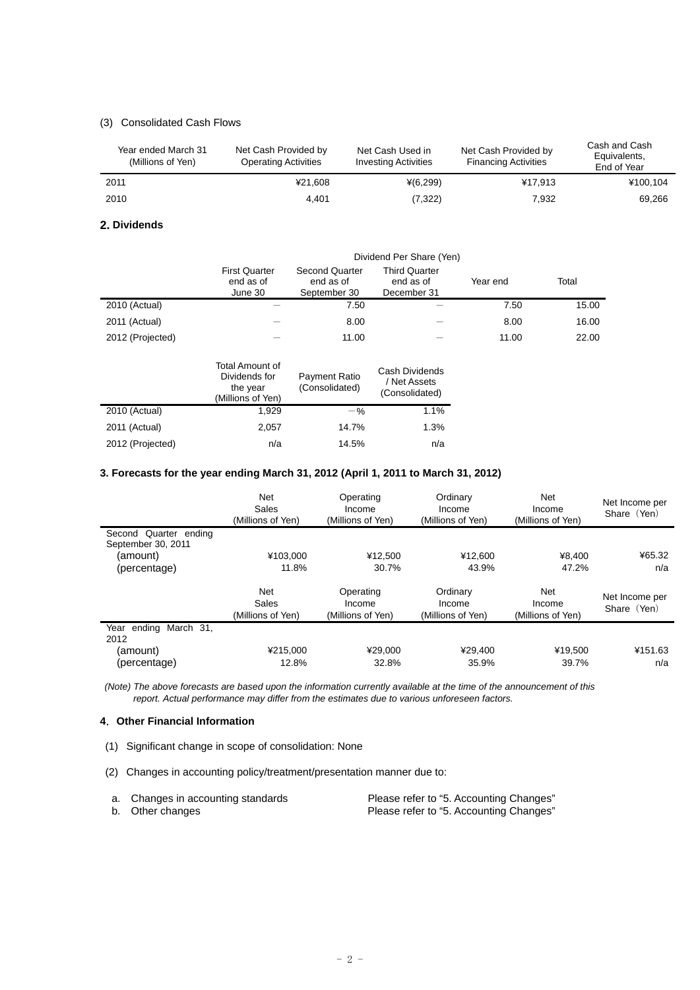## (3) Consolidated Cash Flows

| Year ended March 31<br>(Millions of Yen) | Net Cash Provided by<br><b>Operating Activities</b> | Net Cash Used in<br><b>Investing Activities</b> | Net Cash Provided by<br><b>Financing Activities</b> | Cash and Cash<br>Equivalents,<br>End of Year |
|------------------------------------------|-----------------------------------------------------|-------------------------------------------------|-----------------------------------------------------|----------------------------------------------|
| 2011                                     | ¥21.608                                             | $*(6,299)$                                      | ¥17.913                                             | ¥100.104                                     |
| 2010                                     | 4.401                                               | (7,322)                                         | 7.932                                               | 69,266                                       |

#### **2. Dividends**

|                  | Dividend Per Share (Yen)                     |                                                    |                                                  |          |       |
|------------------|----------------------------------------------|----------------------------------------------------|--------------------------------------------------|----------|-------|
|                  | <b>First Quarter</b><br>end as of<br>June 30 | <b>Second Quarter</b><br>end as of<br>September 30 | <b>Third Quarter</b><br>end as of<br>December 31 | Year end | Total |
| 2010 (Actual)    |                                              | 7.50                                               |                                                  | 7.50     | 15.00 |
| 2011 (Actual)    |                                              | 8.00                                               |                                                  | 8.00     | 16.00 |
| 2012 (Projected) |                                              | 11.00                                              |                                                  | 11.00    | 22.00 |
|                  | Total Amount of                              |                                                    |                                                  |          |       |

|                  | TURIL AITIUUTIL UL<br>Dividends for<br>the year<br>(Millions of Yen) | Payment Ratio<br>(Consolidated) | Cash Dividends<br>/ Net Assets<br>(Consolidated) |
|------------------|----------------------------------------------------------------------|---------------------------------|--------------------------------------------------|
| 2010 (Actual)    | 1.929                                                                | $-$ %                           | 1.1%                                             |
| 2011 (Actual)    | 2.057                                                                | 14.7%                           | 1.3%                                             |
| 2012 (Projected) | n/a                                                                  | 14.5%                           | n/a                                              |

## **3. Forecasts for the year ending March 31, 2012 (April 1, 2011 to March 31, 2012)**

|                                             | <b>Net</b><br>Sales<br>(Millions of Yen) | Operating<br>Income<br>(Millions of Yen) | Ordinary<br>Income<br>(Millions of Yen) | Net<br>Income<br>(Millions of Yen) | Net Income per<br>Share (Yen) |
|---------------------------------------------|------------------------------------------|------------------------------------------|-----------------------------------------|------------------------------------|-------------------------------|
| Second Quarter ending<br>September 30, 2011 |                                          |                                          |                                         |                                    |                               |
| (amount)                                    | ¥103.000                                 | ¥12.500                                  | ¥12.600                                 | ¥8,400                             | ¥65.32                        |
| (percentage)                                | 11.8%                                    | 30.7%                                    | 43.9%                                   | 47.2%                              | n/a                           |
|                                             | <b>Net</b><br>Sales<br>(Millions of Yen) | Operating<br>Income<br>(Millions of Yen) | Ordinary<br>Income<br>(Millions of Yen) | Net<br>Income<br>(Millions of Yen) | Net Income per<br>Share (Yen) |
| March 31,<br>Year ending<br>2012            |                                          |                                          |                                         |                                    |                               |
| (amount)                                    | ¥215.000                                 | ¥29.000                                  | ¥29.400                                 | ¥19.500                            | ¥151.63                       |
| (percentage)                                | 12.8%                                    | 32.8%                                    | 35.9%                                   | 39.7%                              | n/a                           |

 *(Note) The above forecasts are based upon the information currently available at the time of the announcement of this report. Actual performance may differ from the estimates due to various unforeseen factors.* 

### **4**.**Other Financial Information**

- (1) Significant change in scope of consolidation: None
- (2) Changes in accounting policy/treatment/presentation manner due to:

| a. Changes in accounting standards | Please refer to "5. Accounting Changes" |
|------------------------------------|-----------------------------------------|
| b. Other changes                   | Please refer to "5. Accounting Changes" |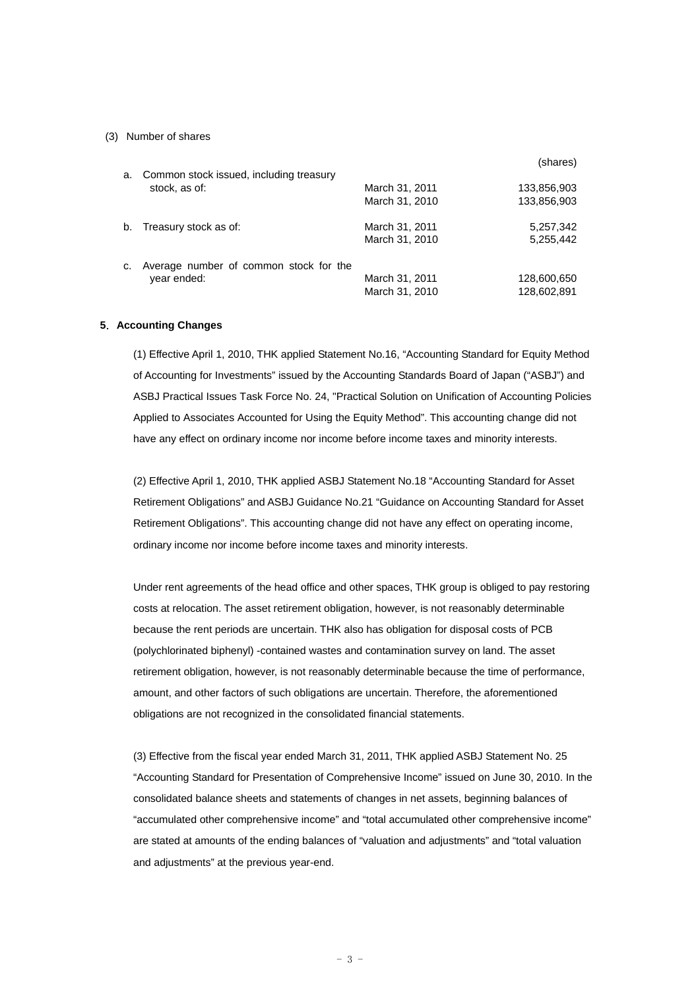#### (3) Number of shares

|    |                                         |                | (shares)    |
|----|-----------------------------------------|----------------|-------------|
| a. | Common stock issued, including treasury |                |             |
|    | stock, as of:                           | March 31, 2011 | 133,856,903 |
|    |                                         | March 31, 2010 | 133,856,903 |
| b. | Treasury stock as of:                   | March 31, 2011 | 5,257,342   |
|    |                                         | March 31, 2010 | 5,255,442   |
| C. | Average number of common stock for the  |                |             |
|    | year ended:                             | March 31, 2011 | 128,600,650 |
|    |                                         | March 31, 2010 | 128,602,891 |

#### **5**.**Accounting Changes**

(1) Effective April 1, 2010, THK applied Statement No.16, "Accounting Standard for Equity Method of Accounting for Investments" issued by the Accounting Standards Board of Japan ("ASBJ") and ASBJ Practical Issues Task Force No. 24, "Practical Solution on Unification of Accounting Policies Applied to Associates Accounted for Using the Equity Method". This accounting change did not have any effect on ordinary income nor income before income taxes and minority interests.

(2) Effective April 1, 2010, THK applied ASBJ Statement No.18 "Accounting Standard for Asset Retirement Obligations" and ASBJ Guidance No.21 "Guidance on Accounting Standard for Asset Retirement Obligations". This accounting change did not have any effect on operating income, ordinary income nor income before income taxes and minority interests.

Under rent agreements of the head office and other spaces, THK group is obliged to pay restoring costs at relocation. The asset retirement obligation, however, is not reasonably determinable because the rent periods are uncertain. THK also has obligation for disposal costs of PCB (polychlorinated biphenyl) -contained wastes and contamination survey on land. The asset retirement obligation, however, is not reasonably determinable because the time of performance, amount, and other factors of such obligations are uncertain. Therefore, the aforementioned obligations are not recognized in the consolidated financial statements.

(3) Effective from the fiscal year ended March 31, 2011, THK applied ASBJ Statement No. 25 "Accounting Standard for Presentation of Comprehensive Income" issued on June 30, 2010. In the consolidated balance sheets and statements of changes in net assets, beginning balances of "accumulated other comprehensive income" and "total accumulated other comprehensive income" are stated at amounts of the ending balances of "valuation and adjustments" and "total valuation and adjustments" at the previous year-end.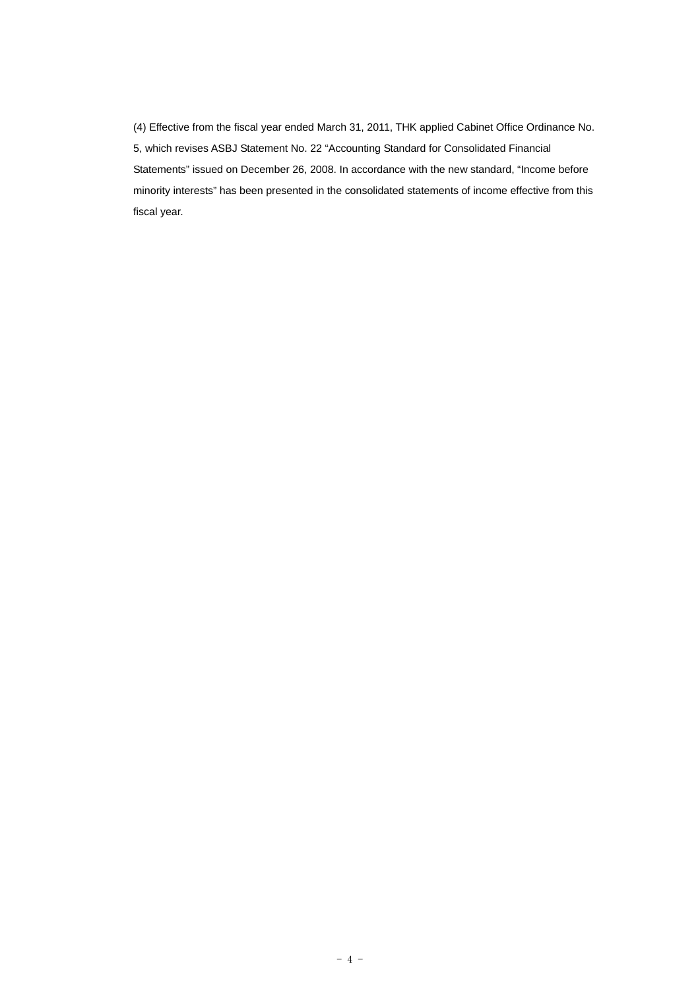(4) Effective from the fiscal year ended March 31, 2011, THK applied Cabinet Office Ordinance No. 5, which revises ASBJ Statement No. 22 "Accounting Standard for Consolidated Financial Statements" issued on December 26, 2008. In accordance with the new standard, "Income before minority interests" has been presented in the consolidated statements of income effective from this fiscal year.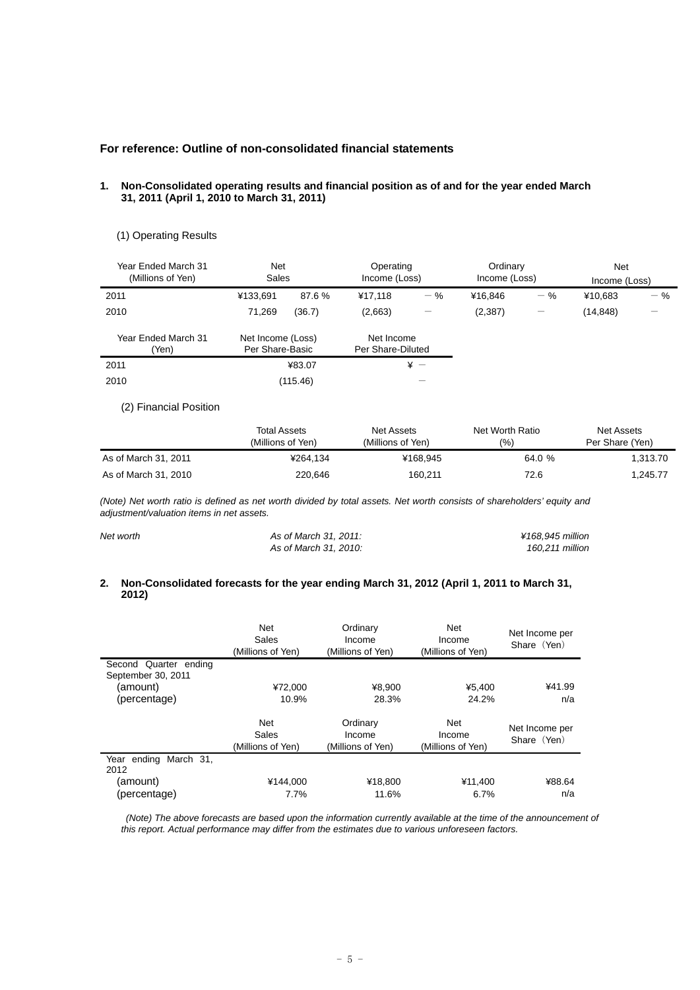## **For reference: Outline of non-consolidated financial statements**

#### **1. Non-Consolidated operating results and financial position as of and for the year ended March 31, 2011 (April 1, 2010 to March 31, 2011)**

### (1) Operating Results

| Year Ended March 31<br>(Millions of Yen) | <b>Net</b><br>Sales                  |          | Operating<br>Income (Loss)      |              | Ordinary<br>Income (Loss) |       | <b>Net</b><br>Income (Loss) |       |
|------------------------------------------|--------------------------------------|----------|---------------------------------|--------------|---------------------------|-------|-----------------------------|-------|
| 2011                                     | ¥133,691                             | 87.6%    | ¥17.118                         | $-$ %        | ¥16.846                   | $-$ % | ¥10.683                     | $-$ % |
| 2010                                     | 71.269                               | (36.7)   | (2,663)                         | -            | (2,387)                   |       | (14, 848)                   |       |
| Year Ended March 31<br>'Yen)             | Net Income (Loss)<br>Per Share-Basic |          | Net Income<br>Per Share-Diluted |              |                           |       |                             |       |
| 2011                                     |                                      | ¥83.07   |                                 | $\ddot{x}$ - |                           |       |                             |       |
| 2010                                     |                                      | (115.46) |                                 |              |                           |       |                             |       |

## (2) Financial Position

|                      | <b>Total Assets</b><br>(Millions of Yen) | Net Assets<br>(Millions of Yen) | Net Worth Ratio<br>(%) | Net Assets<br>Per Share (Yen) |
|----------------------|------------------------------------------|---------------------------------|------------------------|-------------------------------|
| As of March 31, 2011 | ¥264.134                                 | ¥168.945                        | 64.0 %                 | 1.313.70                      |
| As of March 31, 2010 | 220.646                                  | 160,211                         | 72.6                   | 1.245.77                      |

*(Note) Net worth ratio is defined as net worth divided by total assets. Net worth consists of shareholders' equity and adjustment/valuation items in net assets.* 

| Net worth | As of March 31, 2011: | ¥168.945 million |
|-----------|-----------------------|------------------|
|           | As of March 31, 2010: | 160.211 million  |

#### **2. Non-Consolidated forecasts for the year ending March 31, 2012 (April 1, 2011 to March 31, 2012)**

|                                             | Net<br>Sales<br>(Millions of Yen)               | Ordinary<br>Income<br>(Millions of Yen) | <b>Net</b><br>Income<br>(Millions of Yen) | Net Income per<br>Share (Yen) |
|---------------------------------------------|-------------------------------------------------|-----------------------------------------|-------------------------------------------|-------------------------------|
| Second Quarter ending<br>September 30, 2011 |                                                 |                                         |                                           |                               |
| (amount)                                    | ¥72.000                                         | ¥8.900                                  | ¥5.400                                    | ¥41.99                        |
| (percentage)                                | 10.9%                                           | 28.3%                                   | 24.2%                                     | n/a                           |
|                                             | <b>Net</b><br><b>Sales</b><br>(Millions of Yen) | Ordinary<br>Income<br>(Millions of Yen) | Net<br>Income<br>(Millions of Yen)        | Net Income per<br>Share (Yen) |
| Year ending March 31,<br>2012               |                                                 |                                         |                                           |                               |
| (amount)                                    | ¥144.000                                        | ¥18,800                                 | ¥11.400                                   | ¥88.64                        |
| (percentage)                                | 7.7%                                            | 11.6%                                   | 6.7%                                      | n/a                           |

*(Note)* The above forecasts are based upon the information currently available at the time of the announcement of *this report. Actual performance may differ from the estimates due to various unforeseen factors.*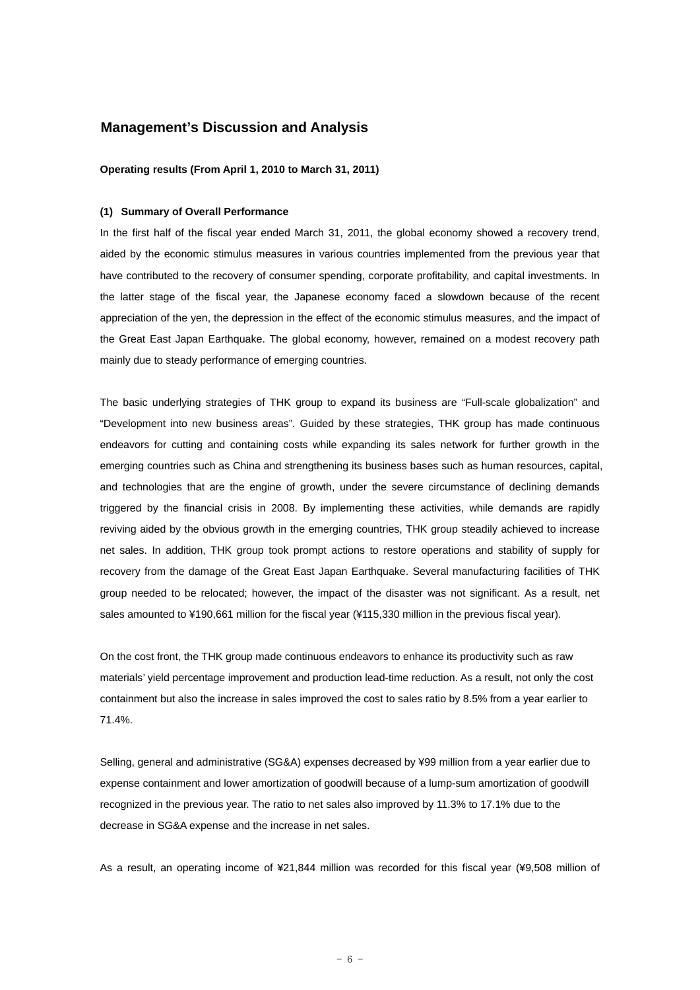## **Management's Discussion and Analysis**

#### **Operating results (From April 1, 2010 to March 31, 2011)**

#### **(1) Summary of Overall Performance**

In the first half of the fiscal year ended March 31, 2011, the global economy showed a recovery trend, aided by the economic stimulus measures in various countries implemented from the previous year that have contributed to the recovery of consumer spending, corporate profitability, and capital investments. In the latter stage of the fiscal year, the Japanese economy faced a slowdown because of the recent appreciation of the yen, the depression in the effect of the economic stimulus measures, and the impact of the Great East Japan Earthquake. The global economy, however, remained on a modest recovery path mainly due to steady performance of emerging countries.

The basic underlying strategies of THK group to expand its business are "Full-scale globalization" and "Development into new business areas". Guided by these strategies, THK group has made continuous endeavors for cutting and containing costs while expanding its sales network for further growth in the emerging countries such as China and strengthening its business bases such as human resources, capital, and technologies that are the engine of growth, under the severe circumstance of declining demands triggered by the financial crisis in 2008. By implementing these activities, while demands are rapidly reviving aided by the obvious growth in the emerging countries, THK group steadily achieved to increase net sales. In addition, THK group took prompt actions to restore operations and stability of supply for recovery from the damage of the Great East Japan Earthquake. Several manufacturing facilities of THK group needed to be relocated; however, the impact of the disaster was not significant. As a result, net sales amounted to ¥190,661 million for the fiscal year (¥115,330 million in the previous fiscal year).

On the cost front, the THK group made continuous endeavors to enhance its productivity such as raw materials' yield percentage improvement and production lead-time reduction. As a result, not only the cost containment but also the increase in sales improved the cost to sales ratio by 8.5% from a year earlier to 71.4%.

Selling, general and administrative (SG&A) expenses decreased by ¥99 million from a year earlier due to expense containment and lower amortization of goodwill because of a lump-sum amortization of goodwill recognized in the previous year. The ratio to net sales also improved by 11.3% to 17.1% due to the decrease in SG&A expense and the increase in net sales.

As a result, an operating income of ¥21,844 million was recorded for this fiscal year (¥9,508 million of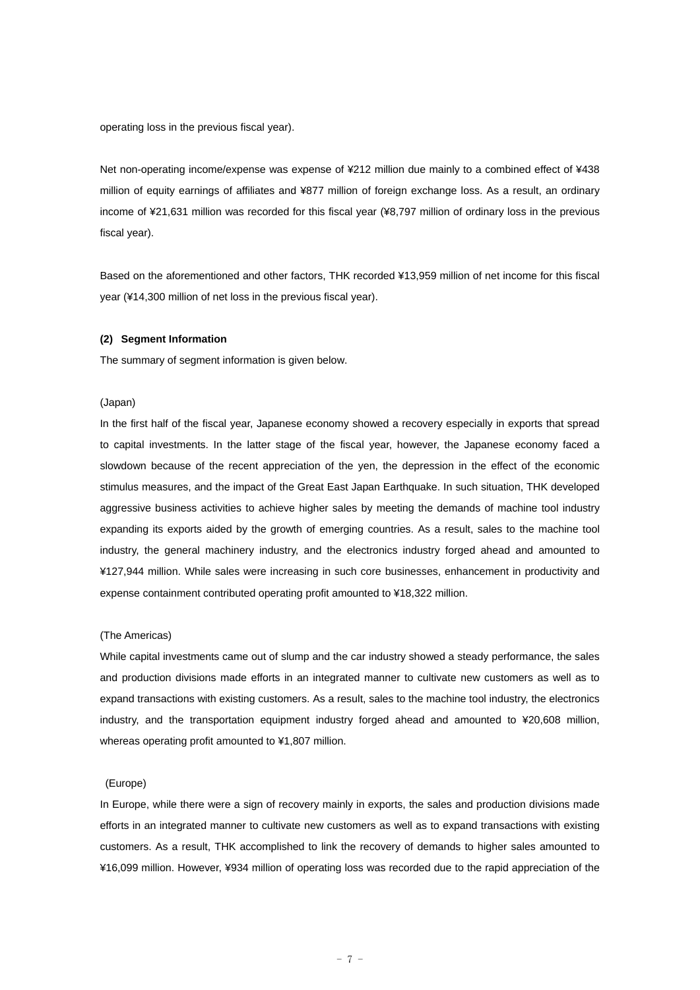operating loss in the previous fiscal year).

Net non-operating income/expense was expense of ¥212 million due mainly to a combined effect of ¥438 million of equity earnings of affiliates and ¥877 million of foreign exchange loss. As a result, an ordinary income of ¥21,631 million was recorded for this fiscal year (¥8,797 million of ordinary loss in the previous fiscal year).

Based on the aforementioned and other factors, THK recorded ¥13,959 million of net income for this fiscal year (¥14,300 million of net loss in the previous fiscal year).

#### **(2) Segment Information**

The summary of segment information is given below.

#### (Japan)

In the first half of the fiscal year, Japanese economy showed a recovery especially in exports that spread to capital investments. In the latter stage of the fiscal year, however, the Japanese economy faced a slowdown because of the recent appreciation of the yen, the depression in the effect of the economic stimulus measures, and the impact of the Great East Japan Earthquake. In such situation, THK developed aggressive business activities to achieve higher sales by meeting the demands of machine tool industry expanding its exports aided by the growth of emerging countries. As a result, sales to the machine tool industry, the general machinery industry, and the electronics industry forged ahead and amounted to ¥127,944 million. While sales were increasing in such core businesses, enhancement in productivity and expense containment contributed operating profit amounted to ¥18,322 million.

#### (The Americas)

While capital investments came out of slump and the car industry showed a steady performance, the sales and production divisions made efforts in an integrated manner to cultivate new customers as well as to expand transactions with existing customers. As a result, sales to the machine tool industry, the electronics industry, and the transportation equipment industry forged ahead and amounted to ¥20,608 million, whereas operating profit amounted to ¥1,807 million.

#### (Europe)

In Europe, while there were a sign of recovery mainly in exports, the sales and production divisions made efforts in an integrated manner to cultivate new customers as well as to expand transactions with existing customers. As a result, THK accomplished to link the recovery of demands to higher sales amounted to ¥16,099 million. However, ¥934 million of operating loss was recorded due to the rapid appreciation of the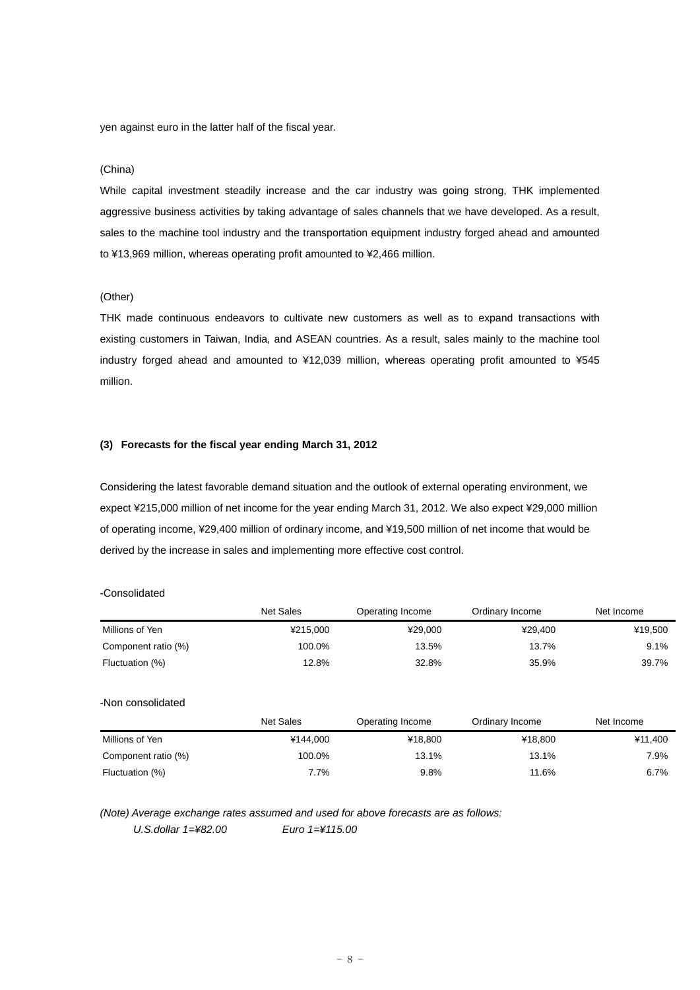yen against euro in the latter half of the fiscal year.

#### (China)

While capital investment steadily increase and the car industry was going strong, THK implemented aggressive business activities by taking advantage of sales channels that we have developed. As a result, sales to the machine tool industry and the transportation equipment industry forged ahead and amounted to ¥13,969 million, whereas operating profit amounted to ¥2,466 million.

#### (Other)

THK made continuous endeavors to cultivate new customers as well as to expand transactions with existing customers in Taiwan, India, and ASEAN countries. As a result, sales mainly to the machine tool industry forged ahead and amounted to ¥12,039 million, whereas operating profit amounted to ¥545 million.

## **(3) Forecasts for the fiscal year ending March 31, 2012**

Considering the latest favorable demand situation and the outlook of external operating environment, we expect ¥215,000 million of net income for the year ending March 31, 2012. We also expect ¥29,000 million of operating income, ¥29,400 million of ordinary income, and ¥19,500 million of net income that would be derived by the increase in sales and implementing more effective cost control.

#### -Consolidated

|                     | <b>Net Sales</b> | Operating Income | Ordinary Income | Net Income |
|---------------------|------------------|------------------|-----------------|------------|
| Millions of Yen     | ¥215,000         | ¥29,000          | ¥29,400         | ¥19,500    |
| Component ratio (%) | 100.0%           | 13.5%            | 13.7%           | 9.1%       |
| Fluctuation (%)     | 12.8%            | 32.8%            | 35.9%           | 39.7%      |
| -Non consolidated   |                  |                  |                 |            |
|                     | <b>Net Sales</b> | Operating Income | Ordinary Income | Net Income |
| Millions of Yen     | ¥144,000         | ¥18,800          | ¥18,800         | ¥11,400    |
| Component ratio (%) | 100.0%           | 13.1%            | 13.1%           | 7.9%       |
| Fluctuation (%)     | 7.7%             | 9.8%             | 11.6%           | 6.7%       |

*(Note) Average exchange rates assumed and used for above forecasts are as follows:* 

*U.S.dollar 1=¥82.00 Euro 1=¥115.00*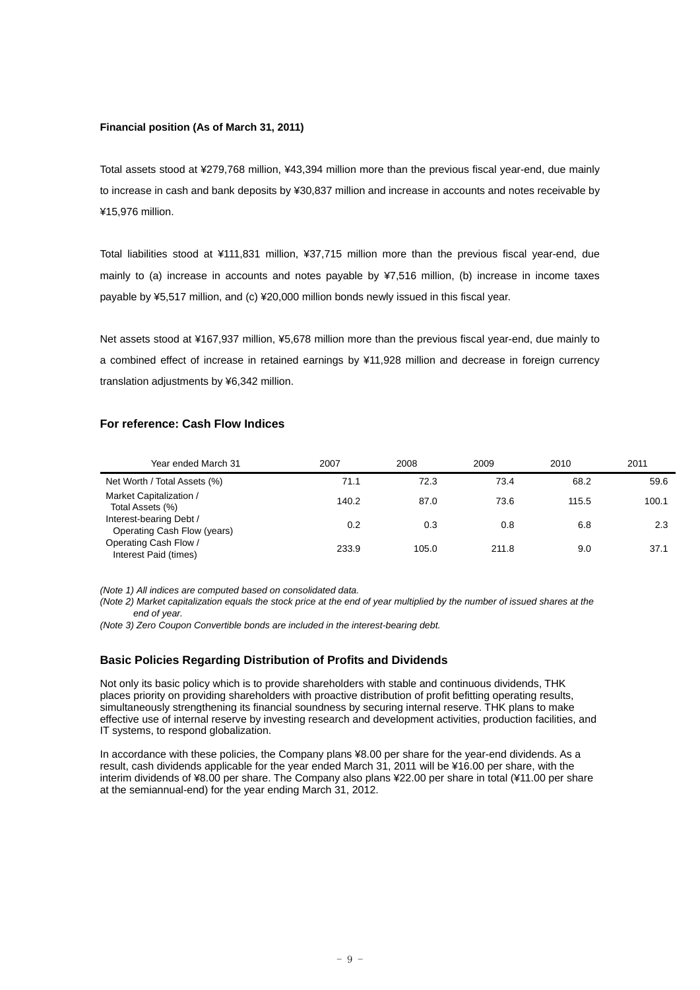#### **Financial position (As of March 31, 2011)**

Total assets stood at ¥279,768 million, ¥43,394 million more than the previous fiscal year-end, due mainly to increase in cash and bank deposits by ¥30,837 million and increase in accounts and notes receivable by ¥15,976 million.

Total liabilities stood at ¥111,831 million, ¥37,715 million more than the previous fiscal year-end, due mainly to (a) increase in accounts and notes payable by ¥7,516 million, (b) increase in income taxes payable by ¥5,517 million, and (c) ¥20,000 million bonds newly issued in this fiscal year.

Net assets stood at ¥167,937 million, ¥5,678 million more than the previous fiscal year-end, due mainly to a combined effect of increase in retained earnings by ¥11,928 million and decrease in foreign currency translation adjustments by ¥6,342 million.

## **For reference: Cash Flow Indices**

| Year ended March 31                                    | 2007  | 2008  | 2009  | 2010  | 2011  |
|--------------------------------------------------------|-------|-------|-------|-------|-------|
| Net Worth / Total Assets (%)                           | 71.1  | 72.3  | 73.4  | 68.2  | 59.6  |
| Market Capitalization /<br>Total Assets (%)            | 140.2 | 87.0  | 73.6  | 115.5 | 100.1 |
| Interest-bearing Debt /<br>Operating Cash Flow (years) | 0.2   | 0.3   | 0.8   | 6.8   | 2.3   |
| Operating Cash Flow /<br>Interest Paid (times)         | 233.9 | 105.0 | 211.8 | 9.0   | 37.1  |

*(Note 1) All indices are computed based on consolidated data.* 

*(Note 2) Market capitalization equals the stock price at the end of year multiplied by the number of issued shares at the end of year.* 

*(Note 3) Zero Coupon Convertible bonds are included in the interest-bearing debt.* 

#### **Basic Policies Regarding Distribution of Profits and Dividends**

Not only its basic policy which is to provide shareholders with stable and continuous dividends, THK places priority on providing shareholders with proactive distribution of profit befitting operating results, simultaneously strengthening its financial soundness by securing internal reserve. THK plans to make effective use of internal reserve by investing research and development activities, production facilities, and IT systems, to respond globalization.

In accordance with these policies, the Company plans ¥8.00 per share for the year-end dividends. As a result, cash dividends applicable for the year ended March 31, 2011 will be ¥16.00 per share, with the interim dividends of ¥8.00 per share. The Company also plans ¥22.00 per share in total (¥11.00 per share at the semiannual-end) for the year ending March 31, 2012.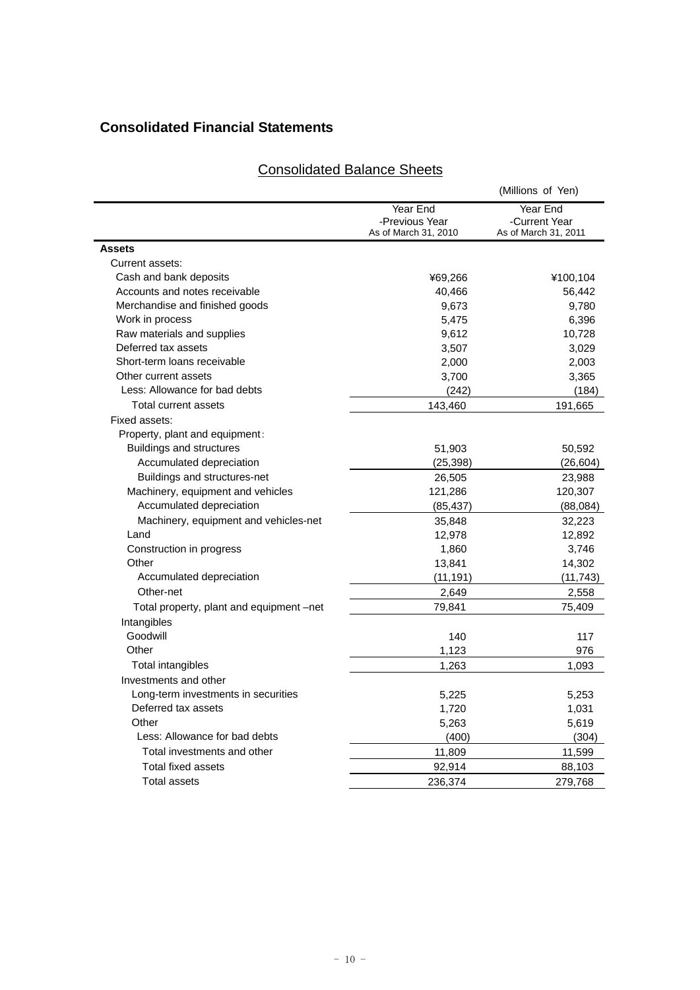## **Consolidated Financial Statements**

| <b>Consolidated Balance Sheets</b> |
|------------------------------------|
|------------------------------------|

|                                          |                                                    | (Millions of Yen)                                 |
|------------------------------------------|----------------------------------------------------|---------------------------------------------------|
|                                          | Year End<br>-Previous Year<br>As of March 31, 2010 | Year End<br>-Current Year<br>As of March 31, 2011 |
| <b>Assets</b>                            |                                                    |                                                   |
| Current assets:                          |                                                    |                                                   |
| Cash and bank deposits                   | ¥69,266                                            | ¥100,104                                          |
| Accounts and notes receivable            | 40,466                                             | 56,442                                            |
| Merchandise and finished goods           | 9,673                                              | 9,780                                             |
| Work in process                          | 5,475                                              | 6,396                                             |
| Raw materials and supplies               | 9,612                                              | 10,728                                            |
| Deferred tax assets                      | 3,507                                              | 3,029                                             |
| Short-term loans receivable              | 2,000                                              | 2,003                                             |
| Other current assets                     | 3,700                                              | 3,365                                             |
| Less: Allowance for bad debts            | (242)                                              | (184)                                             |
| Total current assets                     | 143,460                                            | 191,665                                           |
| Fixed assets:                            |                                                    |                                                   |
| Property, plant and equipment:           |                                                    |                                                   |
| <b>Buildings and structures</b>          | 51,903                                             | 50,592                                            |
| Accumulated depreciation                 | (25,398)                                           | (26,604)                                          |
| Buildings and structures-net             | 26,505                                             | 23,988                                            |
| Machinery, equipment and vehicles        | 121,286                                            | 120,307                                           |
| Accumulated depreciation                 | (85, 437)                                          | (88,084)                                          |
| Machinery, equipment and vehicles-net    | 35,848                                             | 32,223                                            |
| Land                                     | 12,978                                             | 12,892                                            |
| Construction in progress                 | 1,860                                              | 3,746                                             |
| Other                                    | 13,841                                             | 14,302                                            |
| Accumulated depreciation                 | (11, 191)                                          | (11, 743)                                         |
| Other-net                                | 2,649                                              | 2,558                                             |
| Total property, plant and equipment -net | 79,841                                             | 75,409                                            |
| Intangibles                              |                                                    |                                                   |
| Goodwill                                 | 140                                                | 117                                               |
| Other                                    | 1,123                                              | 976                                               |
| Total intangibles                        | 1,263                                              | 1,093                                             |
| Investments and other                    |                                                    |                                                   |
| Long-term investments in securities      | 5,225                                              | 5,253                                             |
| Deferred tax assets                      | 1,720                                              | 1,031                                             |
| Other                                    | 5,263                                              | 5,619                                             |
| Less: Allowance for bad debts            | (400)                                              | (304)                                             |
| Total investments and other              | 11,809                                             | 11,599                                            |
| Total fixed assets                       |                                                    |                                                   |
|                                          | 92,914                                             | 88,103                                            |
| <b>Total assets</b>                      | 236,374                                            | 279,768                                           |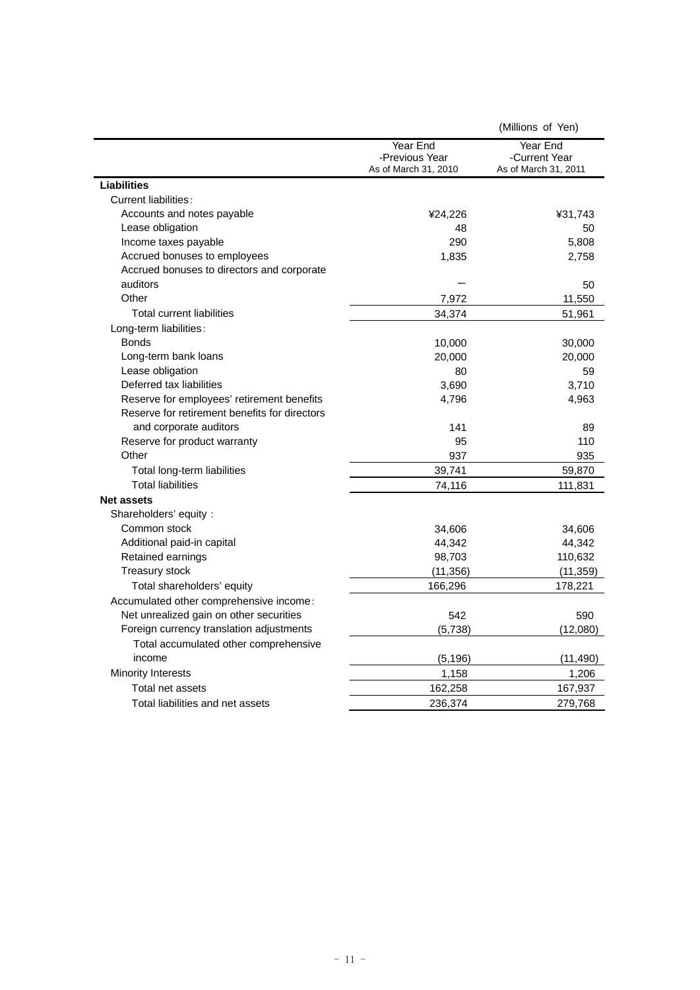|                                               |                                                    | (Millions of Yen)                                 |
|-----------------------------------------------|----------------------------------------------------|---------------------------------------------------|
|                                               | Year End<br>-Previous Year<br>As of March 31, 2010 | Year End<br>-Current Year<br>As of March 31, 2011 |
| Liabilities                                   |                                                    |                                                   |
| Current liabilities:                          |                                                    |                                                   |
| Accounts and notes payable                    | ¥24,226                                            | ¥31,743                                           |
| Lease obligation                              | 48                                                 | 50                                                |
| Income taxes payable                          | 290                                                | 5,808                                             |
| Accrued bonuses to employees                  | 1,835                                              | 2,758                                             |
| Accrued bonuses to directors and corporate    |                                                    |                                                   |
| auditors                                      |                                                    | 50                                                |
| Other                                         | 7,972                                              | 11,550                                            |
| <b>Total current liabilities</b>              | 34,374                                             | 51,961                                            |
| Long-term liabilities:                        |                                                    |                                                   |
| <b>Bonds</b>                                  | 10,000                                             | 30,000                                            |
| Long-term bank loans                          | 20,000                                             | 20,000                                            |
| Lease obligation                              | 80                                                 | 59                                                |
| Deferred tax liabilities                      | 3,690                                              | 3,710                                             |
| Reserve for employees' retirement benefits    | 4,796                                              | 4,963                                             |
| Reserve for retirement benefits for directors |                                                    |                                                   |
| and corporate auditors                        | 141                                                | 89                                                |
| Reserve for product warranty                  | 95                                                 | 110                                               |
| Other                                         | 937                                                | 935                                               |
| Total long-term liabilities                   | 39,741                                             | 59,870                                            |
| <b>Total liabilities</b>                      | 74,116                                             | 111,831                                           |
| <b>Net assets</b>                             |                                                    |                                                   |
| Shareholders' equity:                         |                                                    |                                                   |
| Common stock                                  | 34,606                                             | 34,606                                            |
| Additional paid-in capital                    | 44,342                                             | 44,342                                            |
| Retained earnings                             | 98,703                                             | 110,632                                           |
| <b>Treasury stock</b>                         | (11, 356)                                          | (11, 359)                                         |
| Total shareholders' equity                    | 166,296                                            | 178,221                                           |
| Accumulated other comprehensive income:       |                                                    |                                                   |
| Net unrealized gain on other securities       | 542                                                | 590                                               |
| Foreign currency translation adjustments      | (5,738)                                            | (12,080)                                          |
| Total accumulated other comprehensive         |                                                    |                                                   |
| income                                        | (5, 196)                                           | (11, 490)                                         |
| Minority Interests                            | 1,158                                              | 1,206                                             |
| Total net assets                              | 162,258                                            | 167,937                                           |
| Total liabilities and net assets              | 236,374                                            | 279,768                                           |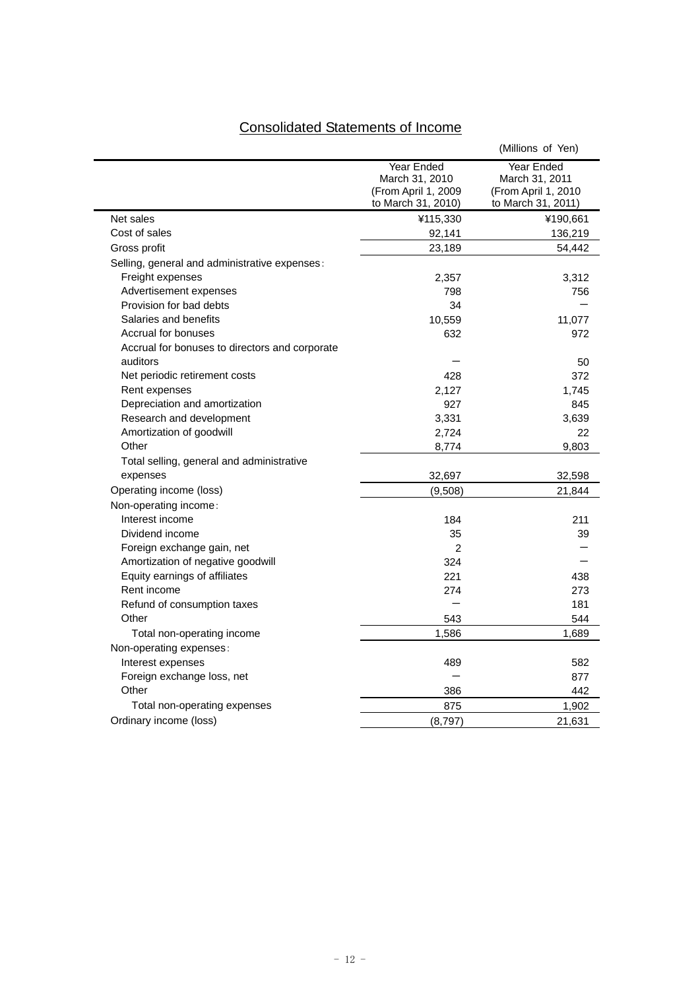# Consolidated Statements of Income

|                                                            |                                                                                  | (Millions of Yen)                                                                |
|------------------------------------------------------------|----------------------------------------------------------------------------------|----------------------------------------------------------------------------------|
|                                                            | <b>Year Ended</b><br>March 31, 2010<br>(From April 1, 2009<br>to March 31, 2010) | <b>Year Ended</b><br>March 31, 2011<br>(From April 1, 2010<br>to March 31, 2011) |
| Net sales                                                  | ¥115,330                                                                         | ¥190,661                                                                         |
| Cost of sales                                              | 92,141                                                                           | 136,219                                                                          |
| Gross profit                                               | 23,189                                                                           | 54,442                                                                           |
| Selling, general and administrative expenses:              |                                                                                  |                                                                                  |
| Freight expenses                                           | 2,357                                                                            | 3,312                                                                            |
| Advertisement expenses                                     | 798                                                                              | 756                                                                              |
| Provision for bad debts                                    | 34                                                                               |                                                                                  |
| Salaries and benefits                                      | 10,559                                                                           | 11,077                                                                           |
| Accrual for bonuses                                        | 632                                                                              | 972                                                                              |
| Accrual for bonuses to directors and corporate<br>auditors |                                                                                  | 50                                                                               |
| Net periodic retirement costs                              | 428                                                                              | 372                                                                              |
| Rent expenses                                              | 2,127                                                                            | 1,745                                                                            |
| Depreciation and amortization                              | 927                                                                              | 845                                                                              |
| Research and development                                   | 3,331                                                                            | 3,639                                                                            |
| Amortization of goodwill                                   | 2,724                                                                            | 22                                                                               |
| Other                                                      | 8,774                                                                            | 9,803                                                                            |
| Total selling, general and administrative                  |                                                                                  |                                                                                  |
| expenses                                                   | 32,697                                                                           | 32,598                                                                           |
| Operating income (loss)                                    | (9,508)                                                                          | 21,844                                                                           |
| Non-operating income:                                      |                                                                                  |                                                                                  |
| Interest income                                            | 184                                                                              | 211                                                                              |
| Dividend income                                            | 35                                                                               | 39                                                                               |
| Foreign exchange gain, net                                 | 2                                                                                |                                                                                  |
| Amortization of negative goodwill                          | 324                                                                              |                                                                                  |
| Equity earnings of affiliates                              | 221                                                                              | 438                                                                              |
| Rent income                                                | 274                                                                              | 273                                                                              |
| Refund of consumption taxes                                |                                                                                  | 181                                                                              |
| Other                                                      | 543                                                                              | 544                                                                              |
| Total non-operating income                                 | 1,586                                                                            | 1,689                                                                            |
| Non-operating expenses:                                    |                                                                                  |                                                                                  |
| Interest expenses                                          | 489                                                                              | 582                                                                              |
| Foreign exchange loss, net                                 |                                                                                  | 877                                                                              |
| Other                                                      | 386                                                                              | 442                                                                              |
| Total non-operating expenses                               | 875                                                                              | 1,902                                                                            |
| Ordinary income (loss)                                     | (8,797)                                                                          | 21,631                                                                           |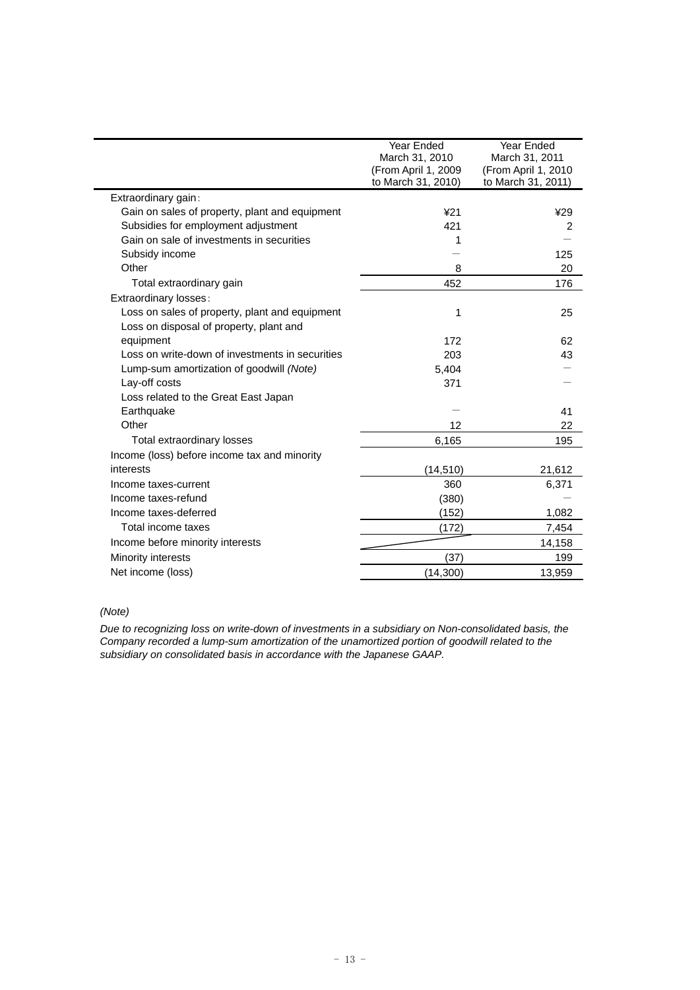| Year Ended<br>March 31, 2010<br>(From April 1, 2009 | Year Ended<br>March 31, 2011<br>(From April 1, 2010<br>to March 31, 2011) |
|-----------------------------------------------------|---------------------------------------------------------------------------|
|                                                     |                                                                           |
| 421                                                 | ¥29                                                                       |
| 421                                                 | $\overline{2}$                                                            |
| 1                                                   |                                                                           |
|                                                     | 125                                                                       |
| 8                                                   | 20                                                                        |
| 452                                                 | 176                                                                       |
|                                                     |                                                                           |
| 1                                                   | 25                                                                        |
|                                                     |                                                                           |
| 172                                                 | 62                                                                        |
| 203                                                 | 43                                                                        |
| 5,404                                               |                                                                           |
| 371                                                 |                                                                           |
|                                                     |                                                                           |
|                                                     | 41                                                                        |
| 12                                                  | 22                                                                        |
| 6,165                                               | 195                                                                       |
|                                                     |                                                                           |
| (14, 510)                                           | 21,612                                                                    |
| 360                                                 | 6,371                                                                     |
| (380)                                               |                                                                           |
| (152)                                               | 1,082                                                                     |
| (172)                                               | 7,454                                                                     |
|                                                     | 14,158                                                                    |
| (37)                                                | 199                                                                       |
| (14, 300)                                           | 13,959                                                                    |
|                                                     | to March 31, 2010)                                                        |

*(Note)* 

*Due to recognizing loss on write-down of investments in a subsidiary on Non-consolidated basis, the Company recorded a lump-sum amortization of the unamortized portion of goodwill related to the subsidiary on consolidated basis in accordance with the Japanese GAAP.*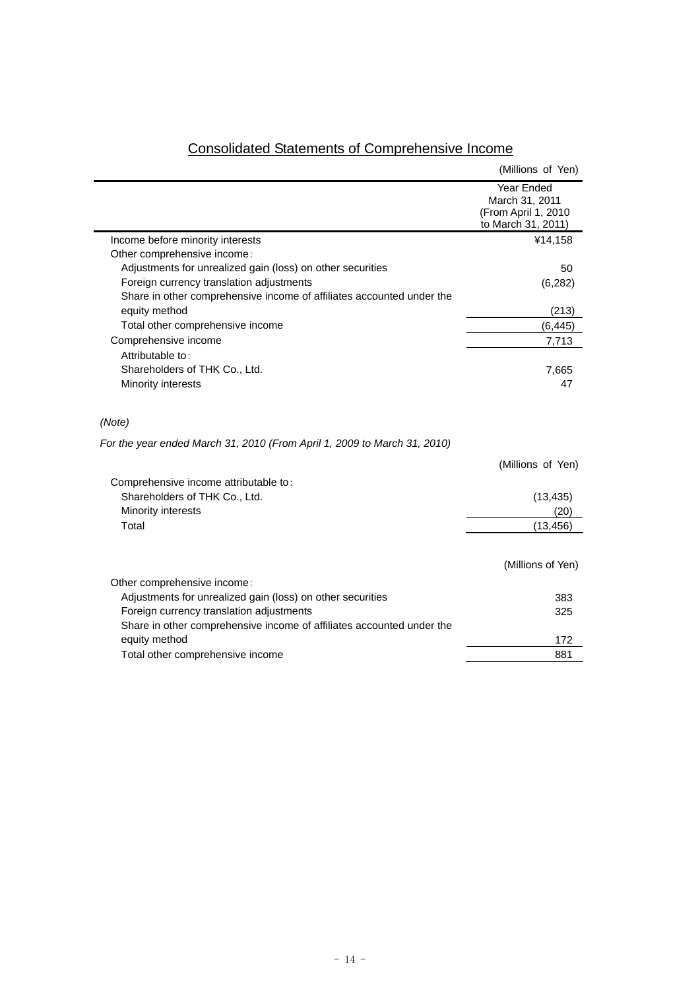|                                                                          | (Millions of Yen)                                                         |
|--------------------------------------------------------------------------|---------------------------------------------------------------------------|
|                                                                          | Year Ended<br>March 31, 2011<br>(From April 1, 2010<br>to March 31, 2011) |
| Income before minority interests                                         | ¥14,158                                                                   |
| Other comprehensive income:                                              |                                                                           |
| Adjustments for unrealized gain (loss) on other securities               | 50                                                                        |
| Foreign currency translation adjustments                                 | (6,282)                                                                   |
| Share in other comprehensive income of affiliates accounted under the    |                                                                           |
| equity method                                                            | (213)                                                                     |
| Total other comprehensive income                                         | (6, 445)                                                                  |
| Comprehensive income                                                     | 7,713                                                                     |
| Attributable to:                                                         |                                                                           |
| Shareholders of THK Co., Ltd.<br>Minority interests                      | 7,665<br>47                                                               |
| (Note)                                                                   |                                                                           |
| For the year ended March 31, 2010 (From April 1, 2009 to March 31, 2010) |                                                                           |
|                                                                          | (Millions of Yen)                                                         |
| Comprehensive income attributable to:                                    |                                                                           |
| Shareholders of THK Co., Ltd.                                            | (13, 435)                                                                 |
| Minority interests                                                       | (20)                                                                      |
| Total                                                                    | (13, 456)                                                                 |
|                                                                          | (Millions of Yen)                                                         |
| Other comprehensive income:                                              |                                                                           |
| Adjustments for unrealized gain (loss) on other securities               | 383                                                                       |
| Foreign currency translation adjustments                                 | 325                                                                       |
| Share in other comprehensive income of affiliates accounted under the    |                                                                           |
| equity method                                                            | 172                                                                       |
| Total other comprehensive income                                         | 881                                                                       |

## Consolidated Statements of Comprehensive Income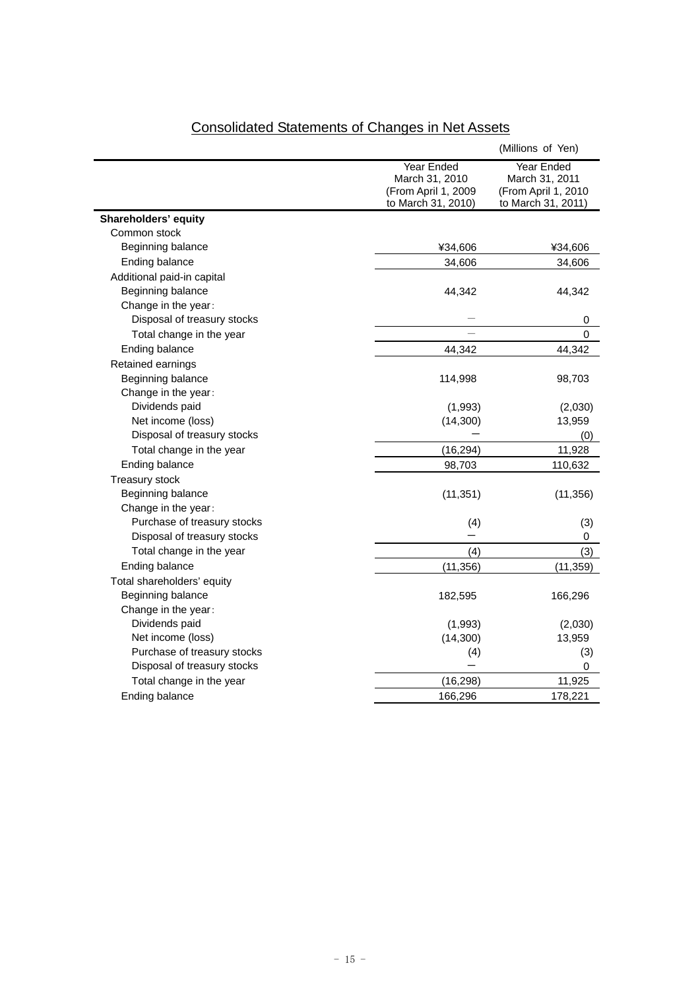|                             |                                                                           | (Millions of Yen)                                                         |
|-----------------------------|---------------------------------------------------------------------------|---------------------------------------------------------------------------|
|                             | Year Ended<br>March 31, 2010<br>(From April 1, 2009<br>to March 31, 2010) | Year Ended<br>March 31, 2011<br>(From April 1, 2010<br>to March 31, 2011) |
| Shareholders' equity        |                                                                           |                                                                           |
| Common stock                |                                                                           |                                                                           |
| Beginning balance           | ¥34,606                                                                   | ¥34,606                                                                   |
| Ending balance              | 34,606                                                                    | 34,606                                                                    |
| Additional paid-in capital  |                                                                           |                                                                           |
| Beginning balance           | 44,342                                                                    | 44,342                                                                    |
| Change in the year:         |                                                                           |                                                                           |
| Disposal of treasury stocks |                                                                           | 0                                                                         |
| Total change in the year    |                                                                           | 0                                                                         |
| Ending balance              | 44,342                                                                    | 44,342                                                                    |
| Retained earnings           |                                                                           |                                                                           |
| Beginning balance           | 114,998                                                                   | 98,703                                                                    |
| Change in the year:         |                                                                           |                                                                           |
| Dividends paid              | (1,993)                                                                   | (2,030)                                                                   |
| Net income (loss)           | (14,300)                                                                  | 13,959                                                                    |
| Disposal of treasury stocks |                                                                           | (0)                                                                       |
| Total change in the year    | (16, 294)                                                                 | 11,928                                                                    |
| Ending balance              | 98,703                                                                    | 110,632                                                                   |
| <b>Treasury stock</b>       |                                                                           |                                                                           |
| Beginning balance           | (11, 351)                                                                 | (11, 356)                                                                 |
| Change in the year:         |                                                                           |                                                                           |
| Purchase of treasury stocks | (4)                                                                       | (3)                                                                       |
| Disposal of treasury stocks |                                                                           | 0                                                                         |
| Total change in the year    | (4)                                                                       | (3)                                                                       |
| Ending balance              | (11, 356)                                                                 | (11, 359)                                                                 |
| Total shareholders' equity  |                                                                           |                                                                           |
| Beginning balance           | 182,595                                                                   | 166,296                                                                   |
| Change in the year:         |                                                                           |                                                                           |
| Dividends paid              | (1,993)                                                                   | (2,030)                                                                   |
| Net income (loss)           | (14, 300)                                                                 | 13,959                                                                    |
| Purchase of treasury stocks | (4)                                                                       | (3)                                                                       |
| Disposal of treasury stocks |                                                                           | 0                                                                         |
| Total change in the year    | (16, 298)                                                                 | 11,925                                                                    |
| Ending balance              | 166,296                                                                   | 178,221                                                                   |

# Consolidated Statements of Changes in Net Assets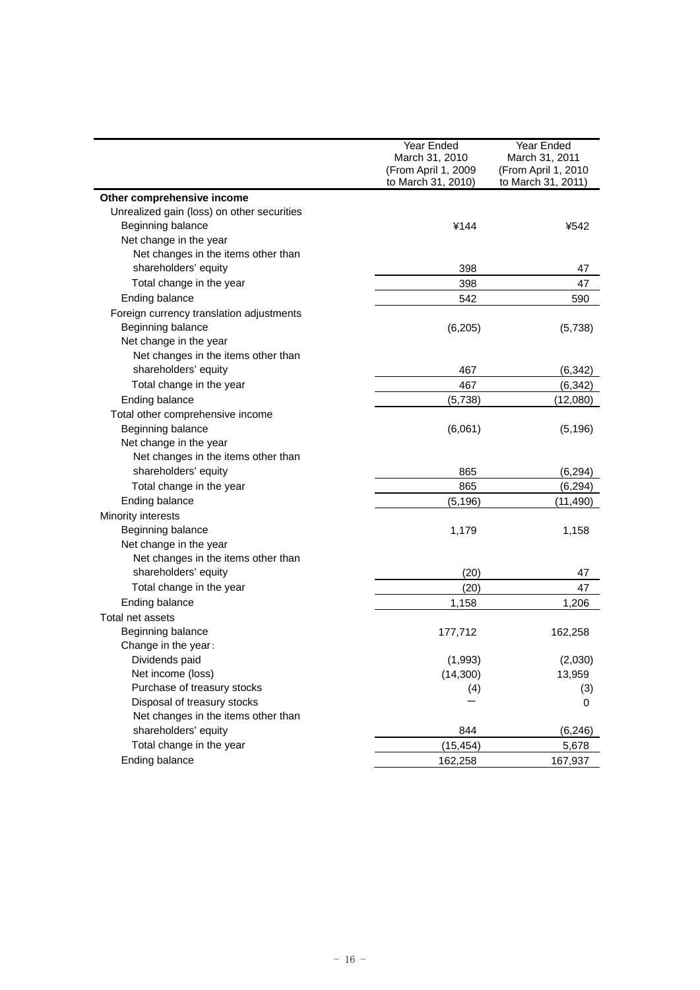|                                            | Year Ended          | Year Ended          |
|--------------------------------------------|---------------------|---------------------|
|                                            | March 31, 2010      | March 31, 2011      |
|                                            | (From April 1, 2009 | (From April 1, 2010 |
|                                            | to March 31, 2010)  | to March 31, 2011)  |
| Other comprehensive income                 |                     |                     |
| Unrealized gain (loss) on other securities |                     |                     |
| Beginning balance                          | ¥144                | ¥542                |
| Net change in the year                     |                     |                     |
| Net changes in the items other than        |                     |                     |
| shareholders' equity                       | 398                 | 47                  |
| Total change in the year                   | 398                 | 47                  |
| Ending balance                             | 542                 | 590                 |
| Foreign currency translation adjustments   |                     |                     |
| Beginning balance                          | (6,205)             | (5,738)             |
| Net change in the year                     |                     |                     |
| Net changes in the items other than        |                     |                     |
| shareholders' equity                       | 467                 | (6, 342)            |
| Total change in the year                   | 467                 | (6, 342)            |
| Ending balance                             | (5,738)             | (12,080)            |
| Total other comprehensive income           |                     |                     |
| Beginning balance                          | (6,061)             | (5, 196)            |
| Net change in the year                     |                     |                     |
| Net changes in the items other than        |                     |                     |
| shareholders' equity                       | 865                 | (6, 294)            |
| Total change in the year                   | 865                 | (6, 294)            |
| Ending balance                             | (5, 196)            | (11,490)            |
| Minority interests                         |                     |                     |
| Beginning balance                          | 1,179               | 1,158               |
| Net change in the year                     |                     |                     |
| Net changes in the items other than        |                     |                     |
| shareholders' equity                       | (20)                | 47                  |
| Total change in the year                   | (20)                | 47                  |
| Ending balance                             | 1,158               | 1,206               |
| Total net assets                           |                     |                     |
| Beginning balance                          | 177,712             | 162,258             |
| Change in the year:                        |                     |                     |
| Dividends paid                             | (1,993)             | (2,030)             |
| Net income (loss)                          | (14,300)            | 13,959              |
| Purchase of treasury stocks                | (4)                 | (3)                 |
| Disposal of treasury stocks                |                     | 0                   |
| Net changes in the items other than        |                     |                     |
| shareholders' equity                       | 844                 | (6, 246)            |
| Total change in the year                   | (15, 454)           | 5,678               |
| Ending balance                             | 162,258             | 167,937             |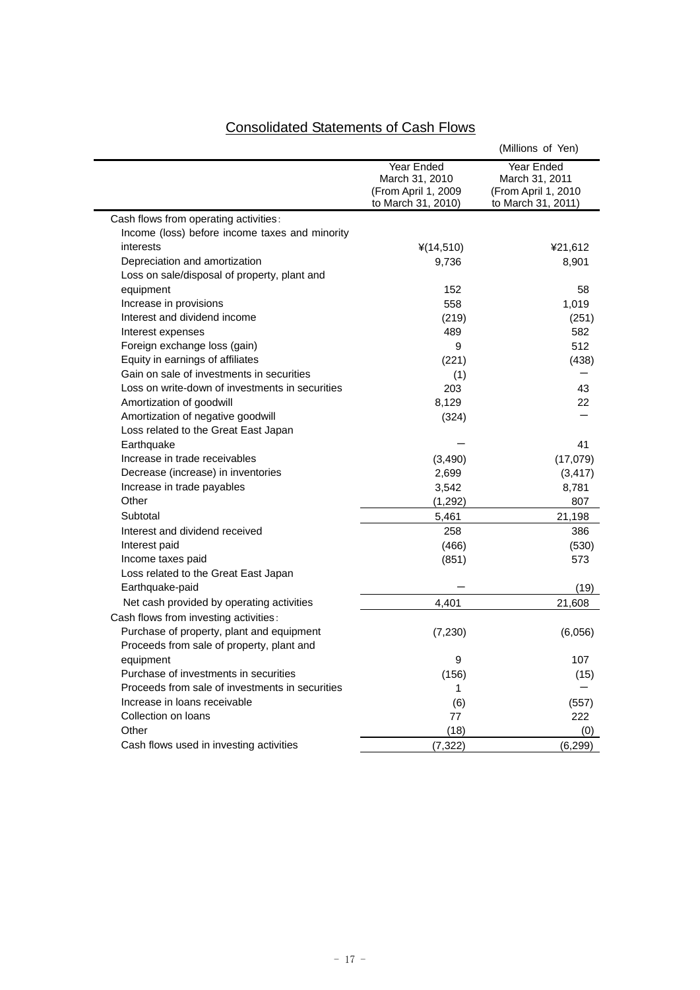# Consolidated Statements of Cash Flows

|                                                 |                                                                           | (Millions of Yen)                                                         |
|-------------------------------------------------|---------------------------------------------------------------------------|---------------------------------------------------------------------------|
|                                                 | Year Ended<br>March 31, 2010<br>(From April 1, 2009<br>to March 31, 2010) | Year Ended<br>March 31, 2011<br>(From April 1, 2010<br>to March 31, 2011) |
| Cash flows from operating activities:           |                                                                           |                                                                           |
| Income (loss) before income taxes and minority  |                                                                           |                                                                           |
| interests                                       | $*(14,510)$                                                               | ¥21,612                                                                   |
| Depreciation and amortization                   | 9,736                                                                     | 8,901                                                                     |
| Loss on sale/disposal of property, plant and    |                                                                           |                                                                           |
| equipment                                       | 152                                                                       | 58                                                                        |
| Increase in provisions                          | 558                                                                       | 1,019                                                                     |
| Interest and dividend income                    | (219)                                                                     | (251)                                                                     |
| Interest expenses                               | 489                                                                       | 582                                                                       |
| Foreign exchange loss (gain)                    | 9                                                                         | 512                                                                       |
| Equity in earnings of affiliates                | (221)                                                                     | (438)                                                                     |
| Gain on sale of investments in securities       | (1)                                                                       |                                                                           |
| Loss on write-down of investments in securities | 203                                                                       | 43                                                                        |
| Amortization of goodwill                        | 8,129                                                                     | 22                                                                        |
| Amortization of negative goodwill               | (324)                                                                     |                                                                           |
| Loss related to the Great East Japan            |                                                                           |                                                                           |
| Earthquake                                      |                                                                           | 41                                                                        |
| Increase in trade receivables                   | (3, 490)                                                                  | (17,079)                                                                  |
| Decrease (increase) in inventories              | 2,699                                                                     | (3, 417)                                                                  |
| Increase in trade payables                      | 3,542                                                                     | 8,781                                                                     |
| Other                                           | (1, 292)                                                                  | 807                                                                       |
| Subtotal                                        | 5,461                                                                     | 21,198                                                                    |
| Interest and dividend received                  | 258                                                                       | 386                                                                       |
| Interest paid                                   | (466)                                                                     | (530)                                                                     |
| Income taxes paid                               | (851)                                                                     | 573                                                                       |
| Loss related to the Great East Japan            |                                                                           |                                                                           |
| Earthquake-paid                                 |                                                                           | (19)                                                                      |
| Net cash provided by operating activities       | 4,401                                                                     | 21,608                                                                    |
| Cash flows from investing activities:           |                                                                           |                                                                           |
| Purchase of property, plant and equipment       | (7, 230)                                                                  | (6,056)                                                                   |
| Proceeds from sale of property, plant and       |                                                                           |                                                                           |
| equipment                                       | 9                                                                         | 107                                                                       |
| Purchase of investments in securities           | (156)                                                                     | (15)                                                                      |
| Proceeds from sale of investments in securities | 1                                                                         |                                                                           |
| Increase in loans receivable                    | (6)                                                                       | (557)                                                                     |
| Collection on loans                             | 77                                                                        | 222                                                                       |
| Other                                           | (18)                                                                      | (0)                                                                       |
| Cash flows used in investing activities         | (7, 322)                                                                  | (6, 299)                                                                  |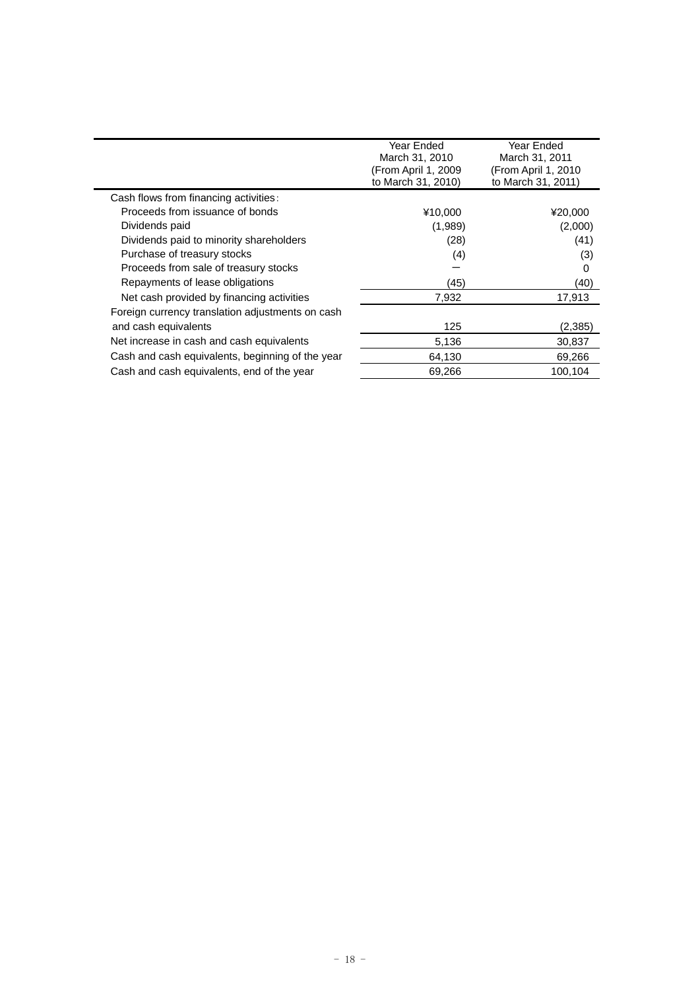|                                                  | Year Ended<br>March 31, 2010<br>(From April 1, 2009)<br>to March 31, 2010) | Year Ended<br>March 31, 2011<br>(From April 1, 2010)<br>to March 31, 2011) |
|--------------------------------------------------|----------------------------------------------------------------------------|----------------------------------------------------------------------------|
| Cash flows from financing activities:            |                                                                            |                                                                            |
| Proceeds from issuance of bonds                  | ¥10.000                                                                    | ¥20,000                                                                    |
| Dividends paid                                   | (1,989)                                                                    | (2,000)                                                                    |
| Dividends paid to minority shareholders          | (28)                                                                       | (41)                                                                       |
| Purchase of treasury stocks                      | (4)                                                                        | (3)                                                                        |
| Proceeds from sale of treasury stocks            |                                                                            | 0                                                                          |
| Repayments of lease obligations                  | (45)                                                                       | (40)                                                                       |
| Net cash provided by financing activities        | 7,932                                                                      | 17.913                                                                     |
| Foreign currency translation adjustments on cash |                                                                            |                                                                            |
| and cash equivalents                             | 125                                                                        | (2,385)                                                                    |
| Net increase in cash and cash equivalents        | 5,136                                                                      | 30,837                                                                     |
| Cash and cash equivalents, beginning of the year | 64,130                                                                     | 69,266                                                                     |
| Cash and cash equivalents, end of the year       | 69,266                                                                     | 100,104                                                                    |
|                                                  |                                                                            |                                                                            |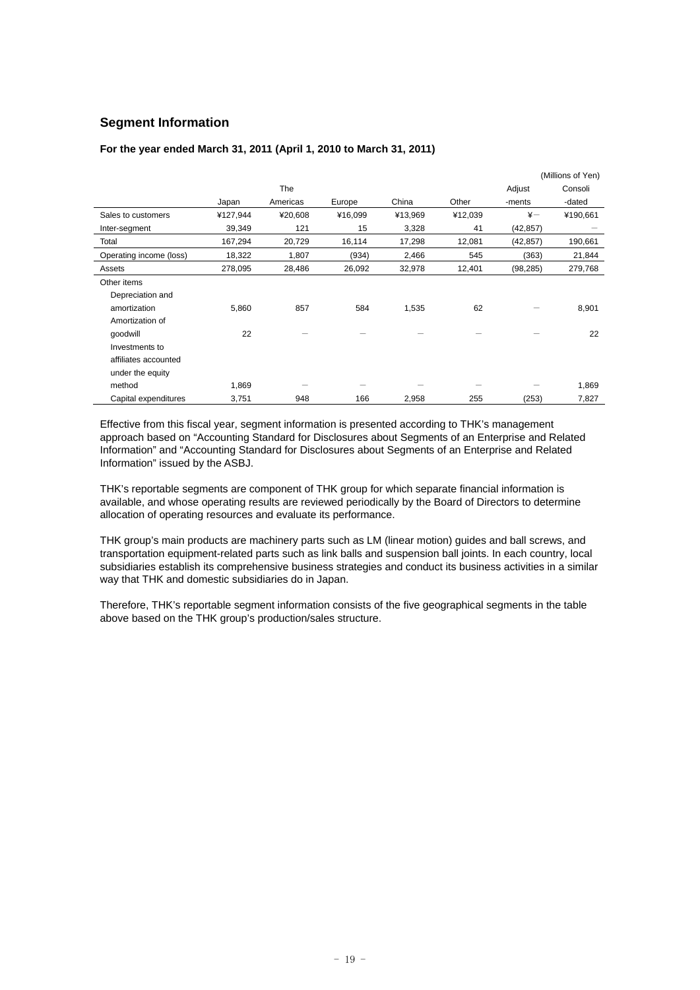## **Segment Information**

#### **For the year ended March 31, 2011 (April 1, 2010 to March 31, 2011)**

|                         |          |          |         |         |         |               | (Millions of Yen) |
|-------------------------|----------|----------|---------|---------|---------|---------------|-------------------|
|                         |          | The      |         |         |         | Adjust        | Consoli           |
|                         | Japan    | Americas | Europe  | China   | Other   | -ments        | -dated            |
| Sales to customers      | ¥127,944 | ¥20,608  | ¥16,099 | ¥13,969 | ¥12,039 | $\frac{1}{2}$ | ¥190,661          |
| Inter-segment           | 39,349   | 121      | 15      | 3,328   | 41      | (42, 857)     |                   |
| Total                   | 167,294  | 20,729   | 16,114  | 17,298  | 12,081  | (42, 857)     | 190,661           |
| Operating income (loss) | 18,322   | 1,807    | (934)   | 2,466   | 545     | (363)         | 21,844            |
| Assets                  | 278,095  | 28,486   | 26,092  | 32,978  | 12,401  | (98, 285)     | 279,768           |
| Other items             |          |          |         |         |         |               |                   |
| Depreciation and        |          |          |         |         |         |               |                   |
| amortization            | 5,860    | 857      | 584     | 1,535   | 62      |               | 8,901             |
| Amortization of         |          |          |         |         |         |               |                   |
| qoodwill                | 22       |          |         |         |         |               | 22                |
| Investments to          |          |          |         |         |         |               |                   |
| affiliates accounted    |          |          |         |         |         |               |                   |
| under the equity        |          |          |         |         |         |               |                   |
| method                  | 1,869    |          |         |         |         |               | 1,869             |
| Capital expenditures    | 3,751    | 948      | 166     | 2,958   | 255     | (253)         | 7,827             |

Effective from this fiscal year, segment information is presented according to THK's management approach based on "Accounting Standard for Disclosures about Segments of an Enterprise and Related Information" and "Accounting Standard for Disclosures about Segments of an Enterprise and Related Information" issued by the ASBJ.

THK's reportable segments are component of THK group for which separate financial information is available, and whose operating results are reviewed periodically by the Board of Directors to determine allocation of operating resources and evaluate its performance.

THK group's main products are machinery parts such as LM (linear motion) guides and ball screws, and transportation equipment-related parts such as link balls and suspension ball joints. In each country, local subsidiaries establish its comprehensive business strategies and conduct its business activities in a similar way that THK and domestic subsidiaries do in Japan.

Therefore, THK's reportable segment information consists of the five geographical segments in the table above based on the THK group's production/sales structure.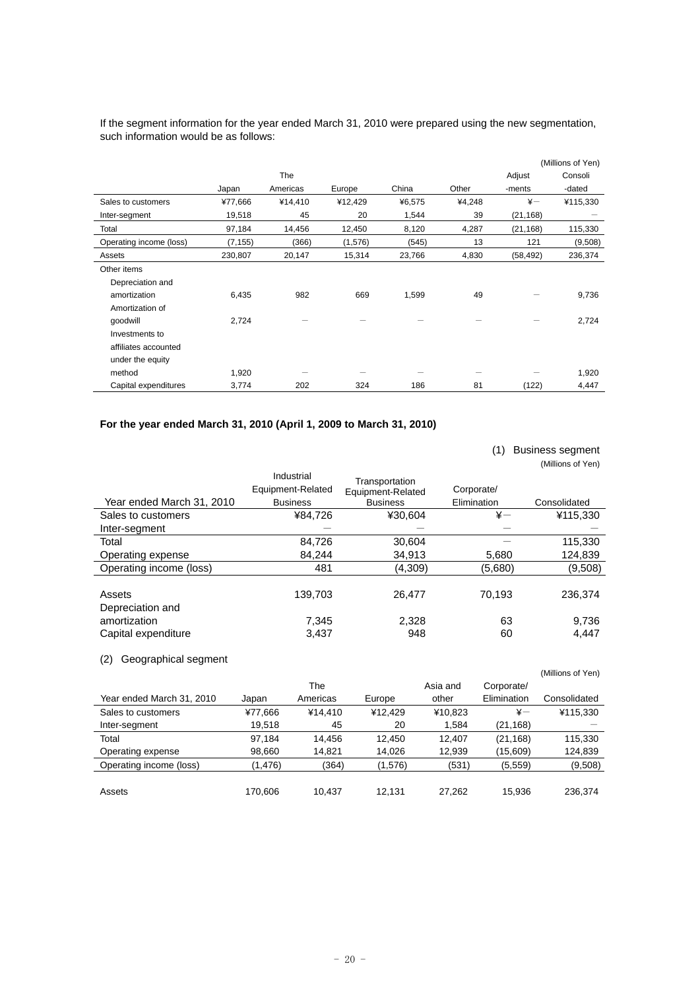If the segment information for the year ended March 31, 2010 were prepared using the new segmentation, such information would be as follows:

|                         |          |            |         |        |        |            | (Millions of Yen) |
|-------------------------|----------|------------|---------|--------|--------|------------|-------------------|
|                         |          | <b>The</b> |         |        |        | Adjust     | Consoli           |
|                         | Japan    | Americas   | Europe  | China  | Other  | -ments     | -dated            |
| Sales to customers      | ¥77,666  | ¥14,410    | ¥12,429 | ¥6,575 | ¥4,248 | $\ddot{x}$ | ¥115,330          |
| Inter-segment           | 19,518   | 45         | 20      | 1,544  | 39     | (21, 168)  |                   |
| Total                   | 97,184   | 14,456     | 12,450  | 8,120  | 4,287  | (21, 168)  | 115,330           |
| Operating income (loss) | (7, 155) | (366)      | (1,576) | (545)  | 13     | 121        | (9,508)           |
| Assets                  | 230,807  | 20,147     | 15,314  | 23,766 | 4,830  | (58, 492)  | 236,374           |
| Other items             |          |            |         |        |        |            |                   |
| Depreciation and        |          |            |         |        |        |            |                   |
| amortization            | 6,435    | 982        | 669     | 1,599  | 49     |            | 9,736             |
| Amortization of         |          |            |         |        |        |            |                   |
| qoodwill                | 2,724    |            |         |        |        |            | 2,724             |
| Investments to          |          |            |         |        |        |            |                   |
| affiliates accounted    |          |            |         |        |        |            |                   |
| under the equity        |          |            |         |        |        |            |                   |
| method                  | 1,920    |            |         |        |        |            | 1,920             |
| Capital expenditures    | 3,774    | 202        | 324     | 186    | 81     | (122)      | 4,447             |

## **For the year ended March 31, 2010 (April 1, 2009 to March 31, 2010)**

|                            |                                                    |                                                        | (1)                       | <b>Business segment</b><br>(Millions of Yen) |
|----------------------------|----------------------------------------------------|--------------------------------------------------------|---------------------------|----------------------------------------------|
| Year ended March 31, 2010  | Industrial<br>Equipment-Related<br><b>Business</b> | Transportation<br>Equipment-Related<br><b>Business</b> | Corporate/<br>Elimination | Consolidated                                 |
| Sales to customers         | ¥84,726                                            | ¥30,604                                                | $\ddot{x}$                | ¥115,330                                     |
| Inter-segment              |                                                    |                                                        |                           |                                              |
| Total                      | 84,726                                             | 30,604                                                 |                           | 115,330                                      |
| Operating expense          | 84.244                                             | 34,913                                                 | 5,680                     | 124,839                                      |
| Operating income (loss)    | 481                                                | (4,309)                                                | (5,680)                   | (9,508)                                      |
| Assets<br>Depreciation and | 139,703                                            | 26.477                                                 | 70.193                    | 236.374                                      |
| amortization               | 7,345                                              | 2,328                                                  | 63                        | 9,736                                        |
| Capital expenditure        | 3,437                                              | 948                                                    | 60                        | 4.447                                        |

## (2) Geographical segment

|                           |          |          |         |          |               | (Millions of Yen) |
|---------------------------|----------|----------|---------|----------|---------------|-------------------|
|                           |          | The      |         | Asia and | Corporate/    |                   |
| Year ended March 31, 2010 | Japan    | Americas | Europe  | other    | Elimination   | Consolidated      |
| Sales to customers        | ¥77,666  | ¥14.410  | ¥12.429 | ¥10,823  | $\frac{1}{2}$ | ¥115,330          |
| Inter-segment             | 19.518   | 45       | 20      | 1.584    | (21,168)      |                   |
| Total                     | 97.184   | 14.456   | 12.450  | 12.407   | (21, 168)     | 115,330           |
| Operating expense         | 98,660   | 14.821   | 14.026  | 12,939   | (15,609)      | 124,839           |
| Operating income (loss)   | (1, 476) | (364)    | (1,576) | (531)    | (5, 559)      | (9,508)           |
|                           |          |          |         |          |               |                   |
| Assets                    | 170.606  | 10.437   | 12.131  | 27.262   | 15.936        | 236.374           |